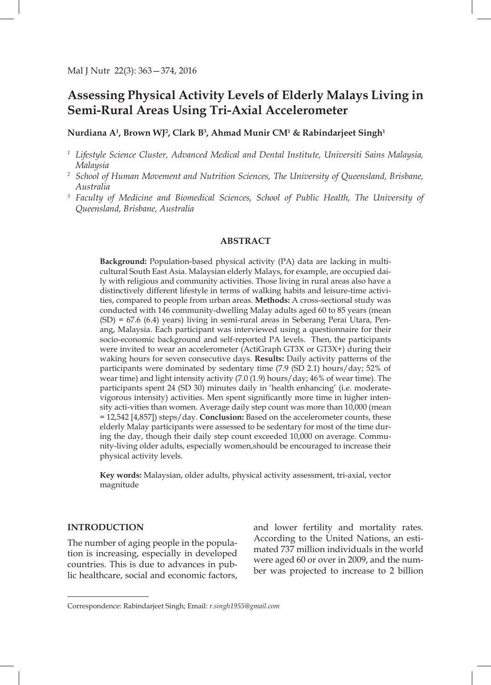# **Assessing Physical Activity Levels of Elderly Malays Living in Semi-Rural Areas Using Tri-Axial Accelerometer**

**Nurdiana A1 , Brown WJ2 , Clark B3 , Ahmad Munir CM1 & Rabindarjeet Singh1**

- *<sup>1</sup> Lifestyle Science Cluster, Advanced Medical and Dental Institute, Universiti Sains Malaysia, Malaysia*
- *<sup>2</sup> School of Human Movement and Nutrition Sciences, The University of Queensland, Brisbane, Australia*
- *<sup>3</sup> Faculty of Medicine and Biomedical Sciences, School of Public Health, The University of Queensland, Brisbane, Australia*

# **ABSTRACT**

**Background:** Population-based physical activity (PA) data are lacking in multicultural South East Asia. Malaysian elderly Malays, for example, are occupied daily with religious and community activities. Those living in rural areas also have a distinctively different lifestyle in terms of walking habits and leisure-time activities, compared to people from urban areas. **Methods:** A cross-sectional study was conducted with 146 community-dwelling Malay adults aged 60 to 85 years (mean (SD) = 67.6 (6.4) years) living in semi-rural areas in Seberang Perai Utara, Penang, Malaysia. Each participant was interviewed using a questionnaire for their socio-economic background and self-reported PA levels. Then, the participants were invited to wear an accelerometer (ActiGraph GT3X or GT3X+) during their waking hours for seven consecutive days. **Results:** Daily activity patterns of the participants were dominated by sedentary time (7.9 (SD 2.1) hours/day; 52% of wear time) and light intensity activity (7.0 (1.9) hours/day; 46% of wear time). The participants spent 24 (SD 30) minutes daily in 'health enhancing' (i.e. moderatevigorous intensity) activities. Men spent significantly more time in higher intensity acti-vities than women. Average daily step count was more than 10,000 (mean = 12,542 [4,857]) steps/day. **Conclusion:** Based on the accelerometer counts, these elderly Malay participants were assessed to be sedentary for most of the time during the day, though their daily step count exceeded 10,000 on average. Community-living older adults, especially women,should be encouraged to increase their physical activity levels.

**Key words:** Malaysian, older adults, physical activity assessment, tri-axial, vector magnitude

# **INTRODUCTION**

The number of aging people in the population is increasing, especially in developed countries. This is due to advances in public healthcare, social and economic factors, and lower fertility and mortality rates. According to the United Nations, an estimated 737 million individuals in the world were aged 60 or over in 2009, and the number was projected to increase to 2 billion

Correspondence: Rabindarjeet Singh; Email: *r.singh1955@gmail.com*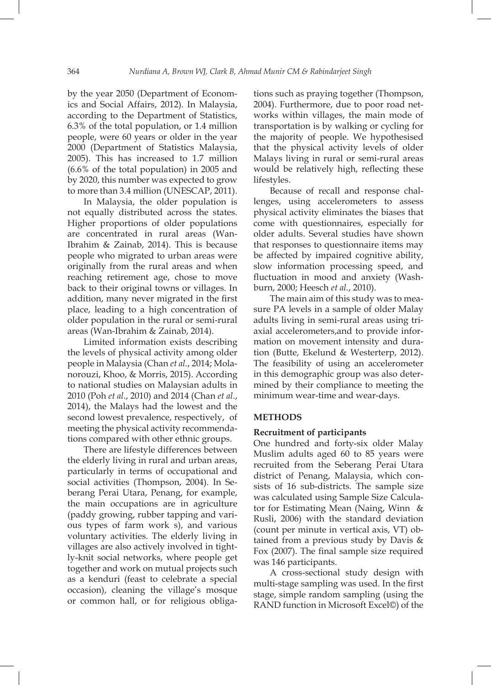by the year 2050 (Department of Economics and Social Affairs, 2012). In Malaysia, according to the Department of Statistics, 6.3% of the total population, or 1.4 million people, were 60 years or older in the year 2000 (Department of Statistics Malaysia, 2005). This has increased to 1.7 million (6.6% of the total population) in 2005 and by 2020, this number was expected to grow to more than 3.4 million (UNESCAP, 2011).

In Malaysia, the older population is not equally distributed across the states. Higher proportions of older populations are concentrated in rural areas (Wan-Ibrahim & Zainab, 2014). This is because people who migrated to urban areas were originally from the rural areas and when reaching retirement age, chose to move back to their original towns or villages. In addition, many never migrated in the first place, leading to a high concentration of older population in the rural or semi-rural areas (Wan-Ibrahim & Zainab, 2014).

Limited information exists describing the levels of physical activity among older people in Malaysia (Chan *et al.*, 2014; Molanorouzi, Khoo, & Morris, 2015). According to national studies on Malaysian adults in 2010 (Poh *et al*., 2010) and 2014 (Chan *et al*., 2014), the Malays had the lowest and the second lowest prevalence, respectively, of meeting the physical activity recommendations compared with other ethnic groups.

There are lifestyle differences between the elderly living in rural and urban areas, particularly in terms of occupational and social activities (Thompson, 2004). In Seberang Perai Utara, Penang, for example, the main occupations are in agriculture (paddy growing, rubber tapping and various types of farm work s), and various voluntary activities. The elderly living in villages are also actively involved in tightly-knit social networks, where people get together and work on mutual projects such as a kenduri (feast to celebrate a special occasion), cleaning the village's mosque or common hall, or for religious obligations such as praying together (Thompson, 2004). Furthermore, due to poor road networks within villages, the main mode of transportation is by walking or cycling for the majority of people. We hypothesised that the physical activity levels of older Malays living in rural or semi-rural areas would be relatively high, reflecting these lifestyles.

Because of recall and response challenges, using accelerometers to assess physical activity eliminates the biases that come with questionnaires, especially for older adults. Several studies have shown that responses to questionnaire items may be affected by impaired cognitive ability, slow information processing speed, and fluctuation in mood and anxiety (Washburn, 2000; Heesch *et al.*, 2010).

The main aim of this study was to measure PA levels in a sample of older Malay adults living in semi-rural areas using triaxial accelerometers,and to provide information on movement intensity and duration (Butte, Ekelund & Westerterp, 2012). The feasibility of using an accelerometer in this demographic group was also determined by their compliance to meeting the minimum wear-time and wear-days.

# **METHODS**

## **Recruitment of participants**

One hundred and forty-six older Malay Muslim adults aged 60 to 85 years were recruited from the Seberang Perai Utara district of Penang, Malaysia, which consists of 16 sub-districts. The sample size was calculated using Sample Size Calculator for Estimating Mean (Naing, Winn & Rusli, 2006) with the standard deviation (count per minute in vertical axis, VT) obtained from a previous study by Davis & Fox (2007). The final sample size required was 146 participants.

A cross-sectional study design with multi-stage sampling was used. In the first stage, simple random sampling (using the RAND function in Microsoft Excel©) of the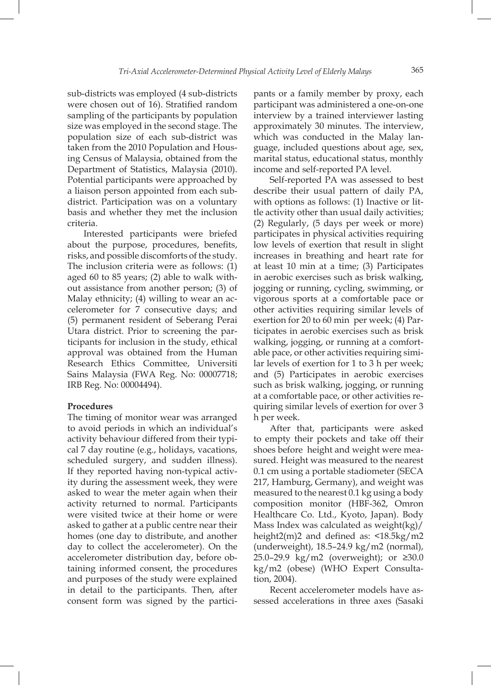sub-districts was employed (4 sub-districts were chosen out of 16). Stratified random sampling of the participants by population size was employed in the second stage. The population size of each sub-district was taken from the 2010 Population and Housing Census of Malaysia, obtained from the Department of Statistics, Malaysia (2010). Potential participants were approached by a liaison person appointed from each subdistrict. Participation was on a voluntary basis and whether they met the inclusion criteria.

Interested participants were briefed about the purpose, procedures, benefits, risks, and possible discomforts of the study. The inclusion criteria were as follows: (1) aged 60 to 85 years; (2) able to walk without assistance from another person; (3) of Malay ethnicity; (4) willing to wear an accelerometer for 7 consecutive days; and (5) permanent resident of Seberang Perai Utara district. Prior to screening the participants for inclusion in the study, ethical approval was obtained from the Human Research Ethics Committee, Universiti Sains Malaysia (FWA Reg. No: 00007718; IRB Reg. No: 00004494).

# **Procedures**

The timing of monitor wear was arranged to avoid periods in which an individual's activity behaviour differed from their typical 7 day routine (e.g., holidays, vacations, scheduled surgery, and sudden illness). If they reported having non-typical activity during the assessment week, they were asked to wear the meter again when their activity returned to normal. Participants were visited twice at their home or were asked to gather at a public centre near their homes (one day to distribute, and another day to collect the accelerometer). On the accelerometer distribution day, before obtaining informed consent, the procedures and purposes of the study were explained in detail to the participants. Then, after consent form was signed by the participants or a family member by proxy, each participant was administered a one-on-one interview by a trained interviewer lasting approximately 30 minutes. The interview, which was conducted in the Malay language, included questions about age, sex, marital status, educational status, monthly income and self-reported PA level.

Self-reported PA was assessed to best describe their usual pattern of daily PA, with options as follows: (1) Inactive or little activity other than usual daily activities; (2) Regularly, (5 days per week or more) participates in physical activities requiring low levels of exertion that result in slight increases in breathing and heart rate for at least 10 min at a time; (3) Participates in aerobic exercises such as brisk walking, jogging or running, cycling, swimming, or vigorous sports at a comfortable pace or other activities requiring similar levels of exertion for 20 to 60 min per week; (4) Participates in aerobic exercises such as brisk walking, jogging, or running at a comfortable pace, or other activities requiring similar levels of exertion for 1 to 3 h per week; and (5) Participates in aerobic exercises such as brisk walking, jogging, or running at a comfortable pace, or other activities requiring similar levels of exertion for over 3 h per week.

After that, participants were asked to empty their pockets and take off their shoes before height and weight were measured. Height was measured to the nearest 0.1 cm using a portable stadiometer (SECA 217, Hamburg, Germany), and weight was measured to the nearest 0.1 kg using a body composition monitor (HBF-362, Omron Healthcare Co. Ltd., Kyoto, Japan). Body Mass Index was calculated as weight(kg)/ height2(m)2 and defined as: <18.5kg/m2 (underweight), 18.5–24.9 kg/m2 (normal), 25.0–29.9 kg/m2 (overweight); or ≥30.0 kg/m2 (obese) (WHO Expert Consultation, 2004).

Recent accelerometer models have assessed accelerations in three axes (Sasaki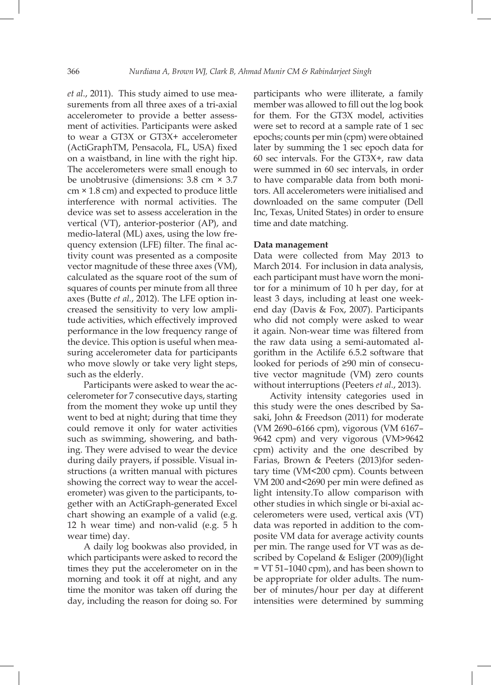*et al.*, 2011). This study aimed to use measurements from all three axes of a tri-axial accelerometer to provide a better assessment of activities. Participants were asked to wear a GT3X or GT3X+ accelerometer (ActiGraphTM, Pensacola, FL, USA) fixed on a waistband, in line with the right hip. The accelerometers were small enough to be unobtrusive (dimensions: 3.8 cm × 3.7 cm × 1.8 cm) and expected to produce little interference with normal activities. The device was set to assess acceleration in the vertical (VT), anterior-posterior (AP), and medio-lateral (ML) axes, using the low frequency extension (LFE) filter. The final activity count was presented as a composite vector magnitude of these three axes (VM), calculated as the square root of the sum of squares of counts per minute from all three axes (Butte *et al.*, 2012). The LFE option increased the sensitivity to very low amplitude activities, which effectively improved performance in the low frequency range of the device. This option is useful when measuring accelerometer data for participants who move slowly or take very light steps, such as the elderly.

Participants were asked to wear the accelerometer for 7 consecutive days, starting from the moment they woke up until they went to bed at night; during that time they could remove it only for water activities such as swimming, showering, and bathing. They were advised to wear the device during daily prayers, if possible. Visual instructions (a written manual with pictures showing the correct way to wear the accelerometer) was given to the participants, together with an ActiGraph-generated Excel chart showing an example of a valid (e.g. 12 h wear time) and non-valid (e.g. 5 h wear time) day.

A daily log bookwas also provided, in which participants were asked to record the times they put the accelerometer on in the morning and took it off at night, and any time the monitor was taken off during the day, including the reason for doing so. For

participants who were illiterate, a family member was allowed to fill out the log book for them. For the GT3X model, activities were set to record at a sample rate of 1 sec epochs; counts per min (cpm) were obtained later by summing the 1 sec epoch data for 60 sec intervals. For the GT3X+, raw data were summed in 60 sec intervals, in order to have comparable data from both monitors. All accelerometers were initialised and downloaded on the same computer (Dell Inc, Texas, United States) in order to ensure time and date matching.

## **Data management**

Data were collected from May 2013 to March 2014. For inclusion in data analysis, each participant must have worn the monitor for a minimum of 10 h per day, for at least 3 days, including at least one weekend day (Davis & Fox, 2007). Participants who did not comply were asked to wear it again. Non-wear time was filtered from the raw data using a semi-automated algorithm in the Actilife 6.5.2 software that looked for periods of ≥90 min of consecutive vector magnitude (VM) zero counts without interruptions (Peeters *et al.*, 2013).

Activity intensity categories used in this study were the ones described by Sasaki, John & Freedson (2011) for moderate (VM 2690–6166 cpm), vigorous (VM 6167– 9642 cpm) and very vigorous (VM>9642 cpm) activity and the one described by Farias, Brown & Peeters (2013)for sedentary time (VM<200 cpm). Counts between VM 200 and<2690 per min were defined as light intensity.To allow comparison with other studies in which single or bi-axial accelerometers were used, vertical axis (VT) data was reported in addition to the composite VM data for average activity counts per min. The range used for VT was as described by Copeland & Esliger (2009)(light = VT 51–1040 cpm), and has been shown to be appropriate for older adults. The number of minutes/hour per day at different intensities were determined by summing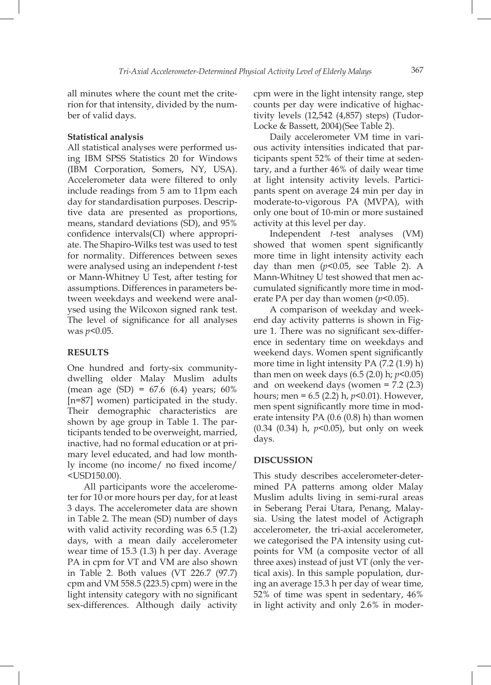all minutes where the count met the criterion for that intensity, divided by the number of valid days.

#### **Statistical analysis**

All statistical analyses were performed using IBM SPSS Statistics 20 for Windows (IBM Corporation, Somers, NY, USA). Accelerometer data were filtered to only include readings from 5 am to 11pm each day for standardisation purposes. Descriptive data are presented as proportions, means, standard deviations (SD), and 95% confidence intervals(CI) where appropriate. The Shapiro-Wilks test was used to test for normality. Differences between sexes were analysed using an independent *t*-test or Mann-Whitney U Test, after testing for assumptions. Differences in parameters between weekdays and weekend were analysed using the Wilcoxon signed rank test. The level of significance for all analyses was *p*<0.05.

## **RESULTS**

One hundred and forty-six communitydwelling older Malay Muslim adults (mean age (SD) =  $67.6$  (6.4) years;  $60\%$ [n=87] women) participated in the study. Their demographic characteristics are shown by age group in Table 1. The participants tended to be overweight, married, inactive, had no formal education or at primary level educated, and had low monthly income (no income/ no fixed income/ <USD150.00).

All participants wore the accelerometer for 10 or more hours per day, for at least 3 days. The accelerometer data are shown in Table 2. The mean (SD) number of days with valid activity recording was 6.5 (1.2) days, with a mean daily accelerometer wear time of 15.3 (1.3) h per day. Average PA in cpm for VT and VM are also shown in Table 2. Both values (VT 226.7 (97.7) cpm and VM 558.5 (223.5) cpm) were in the light intensity category with no significant sex-differences. Although daily activity

cpm were in the light intensity range, step counts per day were indicative of highactivity levels (12,542 (4,857) steps) (Tudor-Locke & Bassett, 2004)(See Table 2).

Daily accelerometer VM time in various activity intensities indicated that participants spent 52% of their time at sedentary, and a further 46% of daily wear time at light intensity activity levels. Participants spent on average 24 min per day in moderate-to-vigorous PA (MVPA), with only one bout of 10-min or more sustained activity at this level per day.

Independent *t*-test analyses (VM) showed that women spent significantly more time in light intensity activity each day than men  $(p<0.05$ , see Table 2). A Mann-Whitney U test showed that men accumulated significantly more time in moderate PA per day than women (*p*<0.05).

A comparison of weekday and weekend day activity patterns is shown in Figure 1. There was no significant sex-difference in sedentary time on weekdays and weekend days. Women spent significantly more time in light intensity PA (7.2 (1.9) h) than men on week days (6.5 (2.0) h; *p*<0.05) and on weekend days (women = 7.2 (2.3) hours; men = 6.5 (2.2) h, *p*<0.01). However, men spent significantly more time in moderate intensity PA (0.6 (0.8) h) than women (0.34 (0.34) h, *p*<0.05), but only on week days.

#### **DISCUSSION**

This study describes accelerometer-determined PA patterns among older Malay Muslim adults living in semi-rural areas in Seberang Perai Utara, Penang, Malaysia. Using the latest model of Actigraph accelerometer, the tri-axial accelerometer, we categorised the PA intensity using cutpoints for VM (a composite vector of all three axes) instead of just VT (only the vertical axis). In this sample population, during an average 15.3 h per day of wear time, 52% of time was spent in sedentary, 46% in light activity and only 2.6% in moder-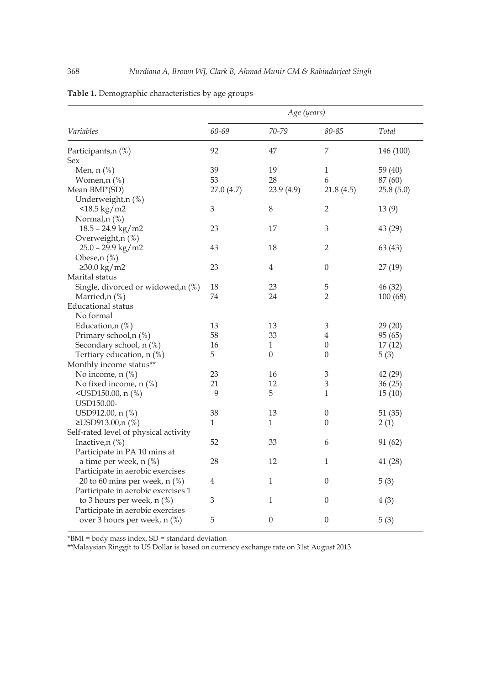|                                       |                           | Age (years)      |                           |           |
|---------------------------------------|---------------------------|------------------|---------------------------|-----------|
| Variables                             | 60-69                     | 70-79            | $80 - 85$                 | Total     |
| Participants,n (%)                    | 92                        | 47               | 7                         | 146 (100) |
| Sex                                   |                           |                  |                           |           |
| Men, $n$ $%$                          | 39                        | 19               | 1                         | 59 (40)   |
| Women,n (%)                           | 53                        | 28               | 6                         | 87 (60)   |
| Mean BMI*(SD)                         | 27.0(4.7)                 | 23.9 (4.9)       | 21.8(4.5)                 | 25.8(5.0) |
| Underweight, n(%)                     |                           |                  |                           |           |
| $<$ 18.5 kg/m2                        | $\mathfrak{B}$            | $\,8\,$          | $\overline{2}$            | 13(9)     |
| Normal,n (%)                          |                           |                  |                           |           |
| $18.5 - 24.9$ kg/m2                   | 23                        | 17               | $\mathfrak 3$             | 43 (29)   |
| Overweight, n(%)                      |                           |                  |                           |           |
| $25.0 - 29.9$ kg/m2                   | 43                        | 18               | 2                         | 63 (43)   |
| Obese,n (%)                           |                           |                  |                           |           |
| $≥30.0$ kg/m2                         | 23                        | 4                | $\theta$                  | 27 (19)   |
| Marital status                        |                           |                  |                           |           |
| Single, divorced or widowed,n (%)     | 18                        | 23               | 5                         | 46 (32)   |
| Married,n (%)                         | 74                        | 24               | $\overline{2}$            | 100(68)   |
| <b>Educational</b> status             |                           |                  |                           |           |
| No formal                             |                           |                  |                           |           |
| Education,n (%)                       | 13                        | 13               | $\ensuremath{\mathbf{3}}$ | 29(20)    |
| Primary school,n (%)                  | 58                        | 33               | 4                         | 95 (65)   |
| Secondary school, n (%)               | 16                        | 1                | $\boldsymbol{0}$          | 17(12)    |
| Tertiary education, n (%)             | 5                         | $\overline{0}$   | $\theta$                  | 5(3)      |
| Monthly income status**               |                           |                  |                           |           |
| No income, $n$ $(\%)$                 | 23                        | 16               | 3                         | 42 (29)   |
| No fixed income, n (%)                | 21                        | 12               | $\mathfrak{Z}$            | 36(25)    |
| $\langle$ USD150.00, n $(\% )$        | 9                         | 5                | $\mathbf 1$               | 15(10)    |
| USD150.00-                            |                           |                  |                           |           |
| USD912.00, n (%)                      | 38                        | 13               | $\boldsymbol{0}$          | 51(35)    |
| ≥USD913.00,n (%)                      | $\mathbf{1}$              | 1                | $\overline{0}$            | 2(1)      |
| Self-rated level of physical activity |                           |                  |                           |           |
| Inactive, $n$ $(\%)$                  | 52                        | 33               | 6                         | 91 (62)   |
| Participate in PA 10 mins at          |                           |                  |                           |           |
| a time per week, $n$ (%)              | 28                        | 12               | 1                         | 41 (28)   |
| Participate in aerobic exercises      |                           |                  |                           |           |
| 20 to 60 mins per week, $n$ (%)       | 4                         | 1                | $\boldsymbol{0}$          | 5(3)      |
| Participate in aerobic exercises 1    |                           |                  |                           |           |
| to 3 hours per week, n (%)            | $\ensuremath{\mathsf{3}}$ | $\mathbf{1}$     | $\boldsymbol{0}$          | 4(3)      |
| Participate in aerobic exercises      |                           |                  |                           |           |
| over 3 hours per week, n (%)          | 5                         | $\boldsymbol{0}$ | $\boldsymbol{0}$          | 5(3)      |
|                                       |                           |                  |                           |           |

| Table 1. Demographic characteristics by age groups |  |  |
|----------------------------------------------------|--|--|
|                                                    |  |  |

\*BMI = body mass index, SD = standard deviation

\*\*Malaysian Ringgit to US Dollar is based on currency exchange rate on 31st August 2013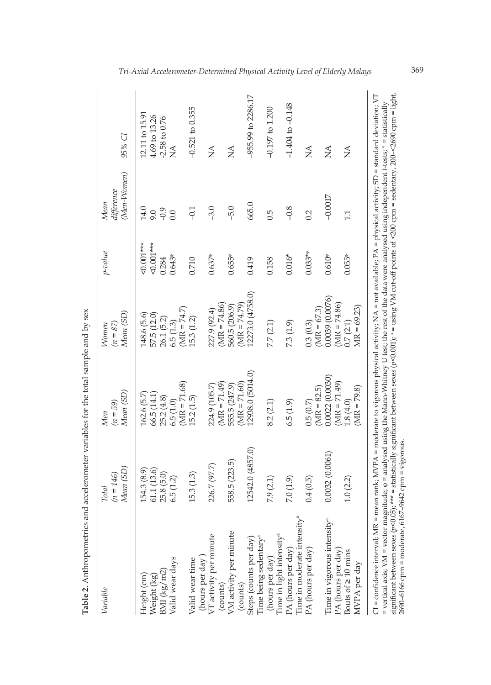| Variable                                                                                                                                                                                                                                                                                                                                                                                                                                         | Mean (SD)<br>$=146$<br>Total<br>$\tilde{z}$        | Mean (SD)<br>$(n = 59)$<br><b>Men</b>                                                                                            | Mean (SD)<br>$(n = 87)$<br><b>Nomen</b>                               | $p$ -value                                              | (Men-Women)<br>difference<br><b>Mean</b> | 95% CI                                                                                                                                      |
|--------------------------------------------------------------------------------------------------------------------------------------------------------------------------------------------------------------------------------------------------------------------------------------------------------------------------------------------------------------------------------------------------------------------------------------------------|----------------------------------------------------|----------------------------------------------------------------------------------------------------------------------------------|-----------------------------------------------------------------------|---------------------------------------------------------|------------------------------------------|---------------------------------------------------------------------------------------------------------------------------------------------|
| Valid wear days<br>BMI (kg/ m2)<br>Height (cm)<br>Weight (kg)                                                                                                                                                                                                                                                                                                                                                                                    | 61.1(13.6)<br>154.3 (8.9)<br>25.8(5.0)<br>6.5(1.2) | $MR = 71.68$<br>162.6 (5.7)<br>66.5 (14.1)<br>25.2(4.8)<br>6.5(1.0)                                                              | $(MR = 74.7)$<br>57.5 (12.0)<br>148.6 (5.6)<br>26.1 (5.2)<br>6.5(1.3) | $50.001***$<br>$< 0.001***$<br>$0.643^{\circ}$<br>0.284 | 14.0<br>$-0.9$<br>9.0<br>0.0             | 12.11 to 15.91<br>4.69 to 13.26<br>$-2.58$ to 0.76<br>$\sum_{i=1}^{n}$                                                                      |
| VT activity per minute<br>(hours per day)<br>Valid wear time                                                                                                                                                                                                                                                                                                                                                                                     | 226.7 (97.7)<br>15.3(1.3)                          | 224.9 (105.7)<br>15.2(1.5)                                                                                                       | 227.9 (92.4)<br>15.3 (1.2)                                            | $0.637^{\circ}$<br>0.710                                | $-3.0$<br>$-0.1$                         | $-0.521$ to $0.355$<br>$\mathop{\rm S}\nolimits$                                                                                            |
| VM activity per minute<br>(counts)<br>(counts)                                                                                                                                                                                                                                                                                                                                                                                                   | 558.5 (223.5)                                      | $(MR = 71.49)$<br>$(MR = 71.60)$<br>555.5 (247.9)                                                                                | $(MR = 74.86)$<br>$M = 74.79$<br>560.5 (206.9)                        | $0.655$ <sup>®</sup>                                    | $-5.0$                                   | $\breve{\mathsf{z}}$                                                                                                                        |
| Time being sedentary <sup>a</sup><br>Steps (counts per day)                                                                                                                                                                                                                                                                                                                                                                                      | 12542.0 (4857.0)                                   | 12938.0 (5014.0)                                                                                                                 | 12273.0 (4758.0)                                                      | 0.419                                                   | 665.0                                    | -955.99 to 2286.17                                                                                                                          |
| Time in light intensity <sup>a</sup><br>(hours per day)                                                                                                                                                                                                                                                                                                                                                                                          | 7.9(2.1)                                           | 8.2(2.1)                                                                                                                         | 7.7 (2.1)                                                             | 0.158                                                   | 0.5                                      | $-0.197$ to $1.200$                                                                                                                         |
| Time in moderate intensity <sup>a</sup><br>PA (hours per day)                                                                                                                                                                                                                                                                                                                                                                                    | 7.0(1.9)                                           | 6.5(1.9)                                                                                                                         | 7.3 (1.9)                                                             | $0.016*$                                                | $-0.8$                                   | $-1.404$ to $-0.148$                                                                                                                        |
| PA (hours per day)                                                                                                                                                                                                                                                                                                                                                                                                                               | 0.4(0.5)                                           | $(MR = 82.5)$<br>0.5(0.7)                                                                                                        | $(MR = 67.3)$<br>0.3(0.3)                                             | $0.033**$                                               | 0.2                                      | $\mathop{\lesssim}\limits^{\blacktriangle}$                                                                                                 |
| Time in vigorous intensity <sup>a</sup><br>PA (hours per day)                                                                                                                                                                                                                                                                                                                                                                                    | 0.0032(0.0061)                                     | 0.0022(0.0030)<br>$(MR = 71.49)$                                                                                                 | 0.0039 (0.0076)<br>$(MR = 74.86)$                                     | $0.610^{\circ}$                                         | $-0.0017$                                | $\sum_{i=1}^{n}$                                                                                                                            |
| Bouts of $\geq 10$ mins<br>MVPA per day                                                                                                                                                                                                                                                                                                                                                                                                          | 1.0(2.2)                                           | $(MR = 79.8)$<br>1.8(4.0)                                                                                                        | $MIR = 69.23$<br>0.7(2.1)                                             | $0.055$ <sup>®</sup>                                    | 1.1                                      | $\mathop{\leq}\limits_{{\mathop{\rm l\negthinspace\!\!\!\leq\!\!\!\!\leq}} \mathop{\mathop{\rm l\negthinspace\!\!\!\triangle\!\!\!\!\leq}}$ |
| CI = confidence interval; MR = mean rank; MVPA = moderate to vigorous physical activity; NA = not available; PA = physical activity; SD = standard deviation; VT<br>= vertical axis; VM = vector magnitude; $\varphi$ = analysed using the Mann-Whitney U test; the rest of the data were analysed using independent t-tests; * = statistically<br>2690-6166 cpm = moderate, 6167-9642 cpm = vigorous<br>significant between sexes (p<0.05); *** |                                                    | = statistically significant between sexes (p<0.001); ^ = using VM cut-off points of <200 cpm = sedentary, 200-<2690 cpm = light, |                                                                       |                                                         |                                          |                                                                                                                                             |

Table 2. Anthropometrics and accelerometer variables for the total sample and by sex **Table 2.** Anthropometrics and accelerometer variables for the total sample and by sex

*Tri-Axial Accelerometer-Determined Physical Activity Level of Elderly Malays* 369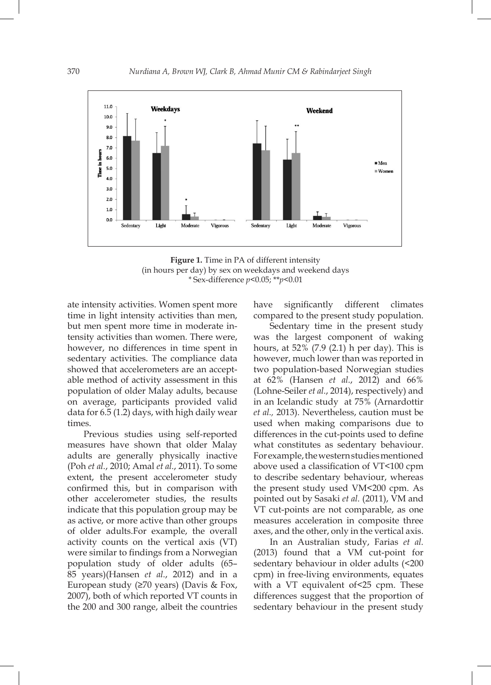

**Figure 1.** Time in PA of different intensity (in hours per day) by sex on weekdays and weekend days *\** Sex-difference *p*<0.05; \*\**p*<0.01

ate intensity activities. Women spent more time in light intensity activities than men, but men spent more time in moderate intensity activities than women. There were, however, no differences in time spent in sedentary activities. The compliance data showed that accelerometers are an acceptable method of activity assessment in this population of older Malay adults, because on average, participants provided valid data for 6.5 (1.2) days, with high daily wear times.

Previous studies using self-reported measures have shown that older Malay adults are generally physically inactive (Poh *et al.*, 2010; Amal *et al.*, 2011). To some extent, the present accelerometer study confirmed this, but in comparison with other accelerometer studies, the results indicate that this population group may be as active, or more active than other groups of older adults.For example, the overall activity counts on the vertical axis (VT) were similar to findings from a Norwegian population study of older adults (65– 85 years)(Hansen *et al.*, 2012) and in a European study (≥70 years) (Davis & Fox, 2007), both of which reported VT counts in the 200 and 300 range, albeit the countries have significantly different climates compared to the present study population.

Sedentary time in the present study was the largest component of waking hours, at 52% (7.9 (2.1) h per day). This is however, much lower than was reported in two population-based Norwegian studies at 62% (Hansen *et al.*, 2012) and 66% (Lohne-Seiler *et al.*, 2014), respectively) and in an Icelandic study at 75% (Arnardottir *et al.,* 2013). Nevertheless, caution must be used when making comparisons due to differences in the cut-points used to define what constitutes as sedentary behaviour. For example, the western studies mentioned above used a classification of VT<100 cpm to describe sedentary behaviour, whereas the present study used VM<200 cpm. As pointed out by Sasaki *et al.* (2011), VM and VT cut-points are not comparable, as one measures acceleration in composite three axes, and the other, only in the vertical axis.

In an Australian study, Farias *et al.*  (2013) found that a VM cut-point for sedentary behaviour in older adults (<200 cpm) in free-living environments, equates with a VT equivalent of<25 cpm. These differences suggest that the proportion of sedentary behaviour in the present study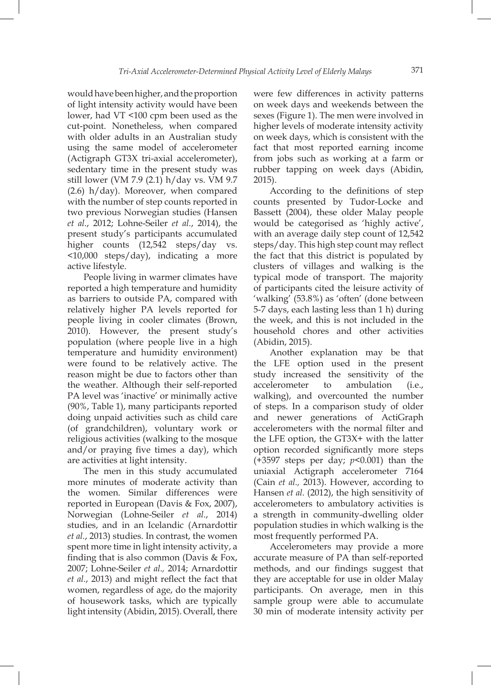would have been higher, and the proportion of light intensity activity would have been lower, had VT <100 cpm been used as the cut-point. Nonetheless, when compared with older adults in an Australian study using the same model of accelerometer (Actigraph GT3X tri-axial accelerometer), sedentary time in the present study was still lower (VM 7.9 (2.1) h/day vs. VM 9.7 (2.6) h/day). Moreover, when compared with the number of step counts reported in two previous Norwegian studies (Hansen *et al.*, 2012; Lohne-Seiler *et al.*, 2014), the present study's participants accumulated higher counts (12,542 steps/day vs. <10,000 steps/day), indicating a more active lifestyle.

People living in warmer climates have reported a high temperature and humidity as barriers to outside PA, compared with relatively higher PA levels reported for people living in cooler climates (Brown, 2010). However, the present study's population (where people live in a high temperature and humidity environment) were found to be relatively active. The reason might be due to factors other than the weather. Although their self-reported PA level was 'inactive' or minimally active (90%, Table 1), many participants reported doing unpaid activities such as child care (of grandchildren), voluntary work or religious activities (walking to the mosque and/or praying five times a day), which are activities at light intensity.

The men in this study accumulated more minutes of moderate activity than the women. Similar differences were reported in European (Davis & Fox, 2007), Norwegian (Lohne-Seiler *et al.*, 2014) studies, and in an Icelandic (Arnardottir *et al.*, 2013) studies. In contrast, the women spent more time in light intensity activity, a finding that is also common (Davis & Fox, 2007; Lohne-Seiler *et al.,* 2014; Arnardottir *et al.*, 2013) and might reflect the fact that women, regardless of age, do the majority of housework tasks, which are typically light intensity (Abidin, 2015). Overall, there were few differences in activity patterns on week days and weekends between the sexes (Figure 1). The men were involved in higher levels of moderate intensity activity on week days, which is consistent with the fact that most reported earning income from jobs such as working at a farm or rubber tapping on week days (Abidin, 2015).

According to the definitions of step counts presented by Tudor-Locke and Bassett (2004), these older Malay people would be categorised as 'highly active', with an average daily step count of 12,542 steps/day. This high step count may reflect the fact that this district is populated by clusters of villages and walking is the typical mode of transport. The majority of participants cited the leisure activity of 'walking' (53.8%) as 'often' (done between 5-7 days, each lasting less than 1 h) during the week, and this is not included in the household chores and other activities (Abidin, 2015).

Another explanation may be that the LFE option used in the present study increased the sensitivity of the accelerometer to ambulation (i.e., walking), and overcounted the number of steps. In a comparison study of older and newer generations of ActiGraph accelerometers with the normal filter and the LFE option, the GT3X+ with the latter option recorded significantly more steps (+3597 steps per day; *p*<0.001) than the uniaxial Actigraph accelerometer 7164 (Cain *et al.,* 2013). However, according to Hansen *et al.* (2012), the high sensitivity of accelerometers to ambulatory activities is a strength in community-dwelling older population studies in which walking is the most frequently performed PA.

Accelerometers may provide a more accurate measure of PA than self-reported methods, and our findings suggest that they are acceptable for use in older Malay participants. On average, men in this sample group were able to accumulate 30 min of moderate intensity activity per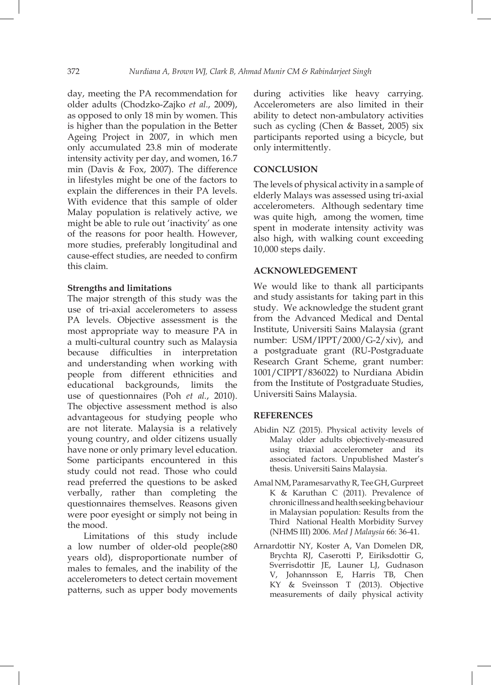day, meeting the PA recommendation for older adults (Chodzko-Zajko *et al.*, 2009), as opposed to only 18 min by women. This is higher than the population in the Better Ageing Project in 2007, in which men only accumulated 23.8 min of moderate intensity activity per day, and women, 16.7 min (Davis & Fox, 2007). The difference in lifestyles might be one of the factors to explain the differences in their PA levels. With evidence that this sample of older Malay population is relatively active, we might be able to rule out 'inactivity' as one of the reasons for poor health. However, more studies, preferably longitudinal and cause-effect studies, are needed to confirm this claim.

# **Strengths and limitations**

The major strength of this study was the use of tri-axial accelerometers to assess PA levels. Objective assessment is the most appropriate way to measure PA in a multi-cultural country such as Malaysia because difficulties in interpretation and understanding when working with people from different ethnicities and educational backgrounds, limits the use of questionnaires (Poh *et al.*, 2010). The objective assessment method is also advantageous for studying people who are not literate. Malaysia is a relatively young country, and older citizens usually have none or only primary level education. Some participants encountered in this study could not read. Those who could read preferred the questions to be asked verbally, rather than completing the questionnaires themselves. Reasons given were poor eyesight or simply not being in the mood.

Limitations of this study include a low number of older-old people(≥80 years old), disproportionate number of males to females, and the inability of the accelerometers to detect certain movement patterns, such as upper body movements during activities like heavy carrying. Accelerometers are also limited in their ability to detect non-ambulatory activities such as cycling (Chen & Basset, 2005) six participants reported using a bicycle, but only intermittently.

# **CONCLUSION**

The levels of physical activity in a sample of elderly Malays was assessed using tri-axial accelerometers. Although sedentary time was quite high, among the women, time spent in moderate intensity activity was also high, with walking count exceeding 10,000 steps daily.

# **ACKNOWLEDGEMENT**

We would like to thank all participants and study assistants for taking part in this study. We acknowledge the student grant from the Advanced Medical and Dental Institute, Universiti Sains Malaysia (grant number: USM/IPPT/2000/G-2/xiv), and a postgraduate grant (RU-Postgraduate Research Grant Scheme, grant number: 1001/CIPPT/836022) to Nurdiana Abidin from the Institute of Postgraduate Studies, Universiti Sains Malaysia.

# **REFERENCES**

- Abidin NZ (2015). Physical activity levels of Malay older adults objectively-measured using triaxial accelerometer and its associated factors. Unpublished Master's thesis. Universiti Sains Malaysia.
- Amal NM, Paramesarvathy R, Tee GH, Gurpreet K & Karuthan C (2011). Prevalence of chronic illness and health seeking behaviour in Malaysian population: Results from the Third National Health Morbidity Survey (NHMS III) 2006. *Med J Malaysia* 66: 36-41.
- Arnardottir NY, Koster A, Van Domelen DR, Brychta RJ, Caserotti P, Eiriksdottir G, Sverrisdottir JE, Launer LJ, Gudnason V, Johannsson E, Harris TB, Chen KY & Sveinsson T (2013). Objective measurements of daily physical activity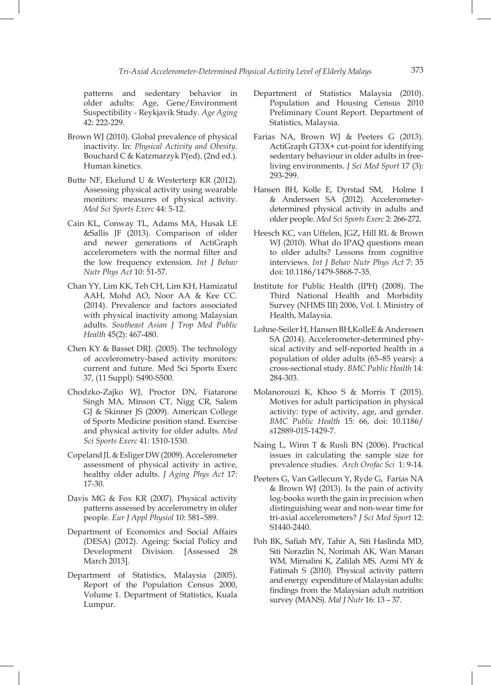patterns and sedentary behavior in older adults: Age, Gene/Environment Suspectibility - Reykjavik Study. *Age Aging*  42: 222-229.

- Brown WJ (2010). Global prevalence of physical inactivity. In: *Physical Activity and Obesity*. Bouchard C & Katzmarzyk P(ed). (2nd ed.). Human kinetics.
- Butte NF, Ekelund U & Westerterp KR (2012). Assessing physical activity using wearable monitors: measures of physical activity. *Med Sci Sports Exerc* 44: 5-12.
- Cain KL, Conway TL, Adams MA, Husak LE &Sallis JF (2013). Comparison of older and newer generations of ActiGraph accelerometers with the normal filter and the low frequency extension. *Int J Behav Nutr Phys Act* 10: 51-57.
- Chan YY, Lim KK, Teh CH, Lim KH, Hamizatul AAH, Mohd AO, Noor AA & Kee CC. (2014). Prevalence and factors associated with physical inactivity among Malaysian adults. *Southeast Asian J Trop Med Public Health* 45(2): 467-480.
- Chen KY & Basset DRJ. (2005). The technology of accelerometry-based activity monitors: current and future. Med Sci Sports Exerc 37, (11 Suppl): S490-S500.
- Chodzko-Zajko WJ, Proctor DN, Fiatarone Singh MA, Minson CT, Nigg CR, Salem GJ & Skinner JS (2009). American College of Sports Medicine position stand. Exercise and physical activity for older adults. *Med Sci Sports Exerc* 41: 1510-1530.
- Copeland JL & Esliger DW (2009). Accelerometer assessment of physical activity in active, healthy older adults. *J Aging Phys Act* 17: 17-30.
- Davis MG & Fox KR (2007). Physical activity patterns assessed by accelerometry in older people. *Eur J Appl Physiol* 10: 581–589.
- Department of Economics and Social Affairs (DESA) (2012). Ageing: Social Policy and Development Division. [Assessed 28 March 2013].
- Department of Statistics, Malaysia (2005). Report of the Population Census 2000, Volume 1. Department of Statistics, Kuala Lumpur.
- Department of Statistics Malaysia (2010). Population and Housing Census 2010 Preliminary Count Report. Department of Statistics, Malaysia.
- Farias NA, Brown WJ & Peeters G (2013). ActiGraph GT3X+ cut-point for identifying sedentary behaviour in older adults in freeliving environments. *J Sci Med Sport* 17 (3): 293-299.
- Hansen BH, Kolle E, Dyrstad SM, Holme I & Anderssen SA (2012). Accelerometerdetermined physical activity in adults and older people. *Med Sci Sports Exerc* 2: 266-272.
- Heesch KC, van Uffelen, JGZ, Hill RL & Brown WJ (2010). What do IPAQ questions mean to older adults? Lessons from cognitive interviews. *Int J Behav Nutr Phys Act* 7: 35 doi: 10.1186/1479-5868-7-35.
- Institute for Public Health (IPH) (2008). The Third National Health and Morbidity Survey (NHMS III) 2006, Vol. I. Ministry of Health, Malaysia.
- Lohne-Seiler H, Hansen BH, KolleE & Anderssen SA (2014). Accelerometer-determined physical activity and self-reported health in a population of older adults (65–85 years): a cross-sectional study. *BMC Public Health* 14: 284-303.
- Molanorouzi K, Khoo S & Morris T (2015). Motives for adult participation in physical activity: type of activity, age, and gender. *BMC Public Health* 15: 66, doi: 10.1186/ s12889-015-1429-7.
- Naing L, Winn T & Rusli BN (2006). Practical issues in calculating the sample size for prevalence studies. *Arch Orofac Sci* 1: 9-14.
- Peeters G, Van Gellecum Y, Ryde G, Farías NA & Brown WJ (2013). Is the pain of activity log-books worth the gain in precision when distinguishing wear and non-wear time for tri-axial accelerometers? *J Sci Med Sport* 12: S1440-2440.
- Poh BK, Safiah MY, Tahir A, Siti Haslinda MD, Siti Norazlin N, Norimah AK, Wan Manan WM, Mirnalini K, Zalilah MS, Azmi MY & Fatimah S (2010). Physical activity pattern and energy expenditure of Malaysian adults: findings from the Malaysian adult nutrition survey (MANS). *Mal J Nutr* 16: 13 – 37.